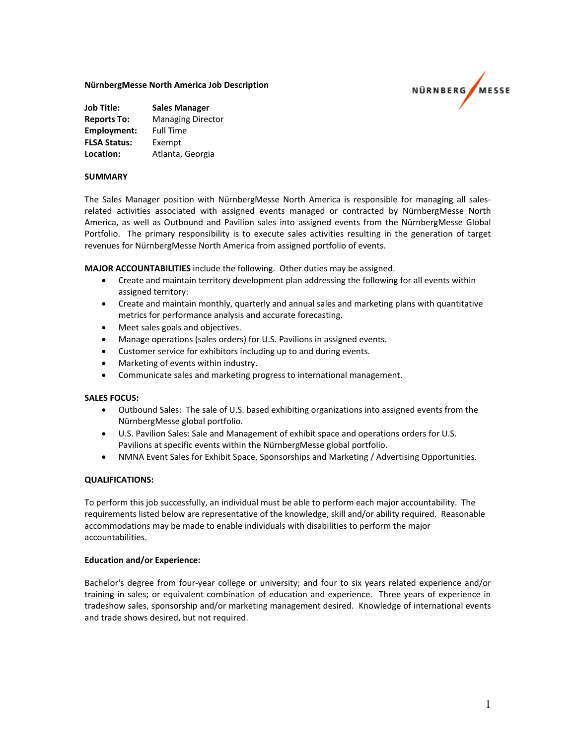# **NürnbergMesse North America Job Description**



| <b>Job Title:</b>   | <b>Sales Manager</b>     |
|---------------------|--------------------------|
| <b>Reports To:</b>  | <b>Managing Director</b> |
| Employment:         | <b>Full Time</b>         |
| <b>FLSA Status:</b> | Exempt                   |
| Location:           | Atlanta, Georgia         |

## **SUMMARY**

The Sales Manager position with NürnbergMesse North America is responsible for managing all sales‐ related activities associated with assigned events managed or contracted by NürnbergMesse North America, as well as Outbound and Pavilion sales into assigned events from the NürnbergMesse Global Portfolio. The primary responsibility is to execute sales activities resulting in the generation of target revenues for NürnbergMesse North America from assigned portfolio of events.

**MAJOR ACCOUNTABILITIES** include the following. Other duties may be assigned.

- Create and maintain territory development plan addressing the following for all events within assigned territory:
- Create and maintain monthly, quarterly and annual sales and marketing plans with quantitative metrics for performance analysis and accurate forecasting.
- Meet sales goals and objectives.
- Manage operations (sales orders) for U.S. Pavilions in assigned events.
- Customer service for exhibitors including up to and during events.
- Marketing of events within industry.
- Communicate sales and marketing progress to international management.

#### **SALES FOCUS:**

- Outbound Sales: The sale of U.S. based exhibiting organizations into assigned events from the NürnbergMesse global portfolio.
- U.S. Pavilion Sales: Sale and Management of exhibit space and operations orders for U.S. Pavilions at specific events within the NürnbergMesse global portfolio.
- NMNA Event Sales for Exhibit Space, Sponsorships and Marketing / Advertising Opportunities.

#### **QUALIFICATIONS:**

To perform this job successfully, an individual must be able to perform each major accountability. The requirements listed below are representative of the knowledge, skill and/or ability required. Reasonable accommodations may be made to enable individuals with disabilities to perform the major accountabilities.

#### **Education and/or Experience:**

Bachelor's degree from four‐year college or university; and four to six years related experience and/or training in sales; or equivalent combination of education and experience. Three years of experience in tradeshow sales, sponsorship and/or marketing management desired. Knowledge of international events and trade shows desired, but not required.